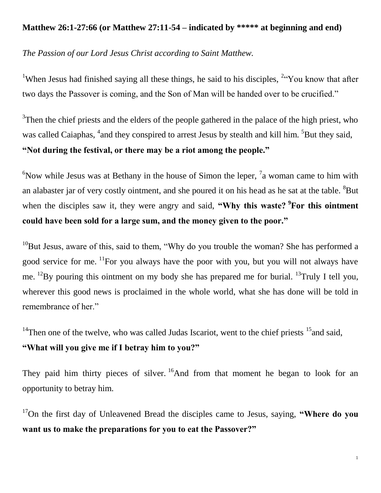## **Matthew 26:1-27:66 (or Matthew 27:11-54 – indicated by \*\*\*\*\* at beginning and end)**

*The Passion of our Lord Jesus Christ according to Saint Matthew.*

<sup>1</sup>When Jesus had finished saying all these things, he said to his disciples,  $24$  You know that after two days the Passover is coming, and the Son of Man will be handed over to be crucified."

 $3$ Then the chief priests and the elders of the people gathered in the palace of the high priest, who was called Caiaphas, <sup>4</sup> and they conspired to arrest Jesus by stealth and kill him. <sup>5</sup> But they said, **"Not during the festival, or there may be a riot among the people."**

 $6$ Now while Jesus was at Bethany in the house of Simon the leper,  $7$  a woman came to him with an alabaster jar of very costly ointment, and she poured it on his head as he sat at the table. <sup>8</sup>But when the disciples saw it, they were angry and said, "Why this waste? <sup>9</sup>For this ointment **could have been sold for a large sum, and the money given to the poor."**

 $10B$ ut Jesus, aware of this, said to them, "Why do you trouble the woman? She has performed a good service for me.  $\frac{11}{1}$ For you always have the poor with you, but you will not always have me. <sup>12</sup>By pouring this ointment on my body she has prepared me for burial. <sup>13</sup>Truly I tell you, wherever this good news is proclaimed in the whole world, what she has done will be told in remembrance of her."

<sup>14</sup>Then one of the twelve, who was called Judas Iscariot, went to the chief priests  $15$  and said,

## **"What will you give me if I betray him to you?"**

They paid him thirty pieces of silver. <sup>16</sup>And from that moment he began to look for an opportunity to betray him.

<sup>17</sup>On the first day of Unleavened Bread the disciples came to Jesus, saying, **"Where do you want us to make the preparations for you to eat the Passover?"**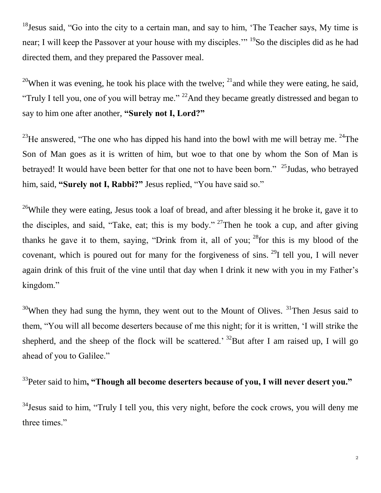<sup>18</sup>Jesus said, "Go into the city to a certain man, and say to him, 'The Teacher says, My time is near; I will keep the Passover at your house with my disciples."<sup>19</sup>So the disciples did as he had directed them, and they prepared the Passover meal.

<sup>20</sup>When it was evening, he took his place with the twelve;  $^{21}$  and while they were eating, he said, "Truly I tell you, one of you will betray me." <sup>22</sup>And they became greatly distressed and began to say to him one after another, **"Surely not I, Lord?"**

<sup>23</sup>He answered, "The one who has dipped his hand into the bowl with me will betray me. <sup>24</sup>The Son of Man goes as it is written of him, but woe to that one by whom the Son of Man is betrayed! It would have been better for that one not to have been born."  $25$ Judas, who betrayed him, said, **"Surely not I, Rabbi?"** Jesus replied, "You have said so."

<sup>26</sup>While they were eating, Jesus took a loaf of bread, and after blessing it he broke it, gave it to the disciples, and said, "Take, eat; this is my body." <sup>27</sup>Then he took a cup, and after giving thanks he gave it to them, saying, "Drink from it, all of you;  $^{28}$  for this is my blood of the covenant, which is poured out for many for the forgiveness of sins. <sup>29</sup>I tell you, I will never again drink of this fruit of the vine until that day when I drink it new with you in my Father's kingdom."

 $30$ When they had sung the hymn, they went out to the Mount of Olives.  $31$ Then Jesus said to them, "You will all become deserters because of me this night; for it is written, 'I will strike the shepherd, and the sheep of the flock will be scattered.<sup>32</sup>But after I am raised up, I will go ahead of you to Galilee."

<sup>33</sup>Peter said to him**, "Though all become deserters because of you, I will never desert you."**

<sup>34</sup> Jesus said to him, "Truly I tell you, this very night, before the cock crows, you will deny me three times."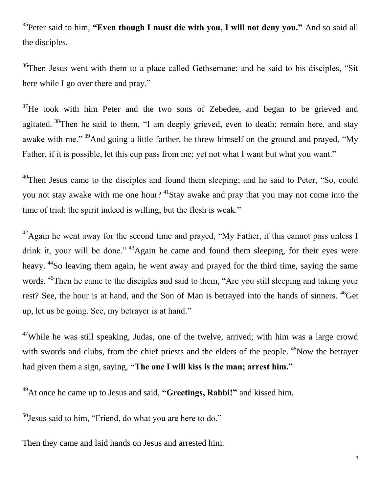<sup>35</sup>Peter said to him, **"Even though I must die with you, I will not deny you."** And so said all the disciples.

 $36$ Then Jesus went with them to a place called Gethsemane; and he said to his disciples, "Sit" here while I go over there and pray."

 $37$  He took with him Peter and the two sons of Zebedee, and began to be grieved and agitated.  $38$ Then he said to them, "I am deeply grieved, even to death; remain here, and stay awake with me." <sup>39</sup>And going a little farther, he threw himself on the ground and prayed, "My Father, if it is possible, let this cup pass from me; yet not what I want but what you want."

<sup>40</sup>Then Jesus came to the disciples and found them sleeping; and he said to Peter, "So, could you not stay awake with me one hour?  $41$ Stay awake and pray that you may not come into the time of trial; the spirit indeed is willing, but the flesh is weak."

 $^{42}$ Again he went away for the second time and prayed, "My Father, if this cannot pass unless I drink it, your will be done." <sup>43</sup>Again he came and found them sleeping, for their eyes were heavy. <sup>44</sup>So leaving them again, he went away and prayed for the third time, saying the same words. <sup>45</sup>Then he came to the disciples and said to them, "Are you still sleeping and taking your rest? See, the hour is at hand, and the Son of Man is betrayed into the hands of sinners. <sup>46</sup>Get up, let us be going. See, my betrayer is at hand."

 $47$ While he was still speaking, Judas, one of the twelve, arrived; with him was a large crowd with swords and clubs, from the chief priests and the elders of the people. <sup>48</sup>Now the betrayer had given them a sign, saying, **"The one I will kiss is the man; arrest him."**

<sup>49</sup>At once he came up to Jesus and said, **"Greetings, Rabbi!"** and kissed him.

 $50$  Jesus said to him, "Friend, do what you are here to do."

Then they came and laid hands on Jesus and arrested him.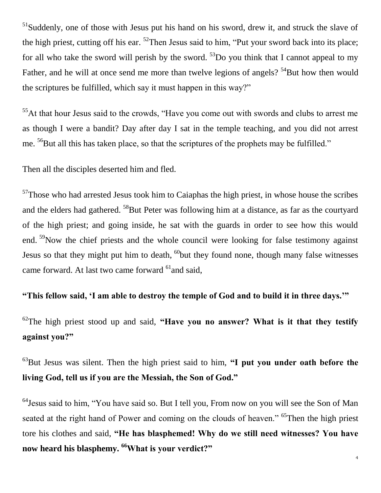$<sup>51</sup>$ Suddenly, one of those with Jesus put his hand on his sword, drew it, and struck the slave of</sup> the high priest, cutting off his ear.  $52$ Then Jesus said to him, "Put your sword back into its place; for all who take the sword will perish by the sword.  $53$ Do you think that I cannot appeal to my Father, and he will at once send me more than twelve legions of angels?  $54$ But how then would the scriptures be fulfilled, which say it must happen in this way?"

 $<sup>55</sup>$ At that hour Jesus said to the crowds, "Have you come out with swords and clubs to arrest me</sup> as though I were a bandit? Day after day I sat in the temple teaching, and you did not arrest me. <sup>56</sup>But all this has taken place, so that the scriptures of the prophets may be fulfilled."

Then all the disciples deserted him and fled.

 $57$ Those who had arrested Jesus took him to Caiaphas the high priest, in whose house the scribes and the elders had gathered. <sup>58</sup>But Peter was following him at a distance, as far as the courtyard of the high priest; and going inside, he sat with the guards in order to see how this would end. <sup>59</sup>Now the chief priests and the whole council were looking for false testimony against Jesus so that they might put him to death,  $^{60}$ but they found none, though many false witnesses came forward. At last two came forward <sup>61</sup> and said,

**"This fellow said, 'I am able to destroy the temple of God and to build it in three days.'"**

<sup>62</sup>The high priest stood up and said, **"Have you no answer? What is it that they testify against you?"**

<sup>63</sup>But Jesus was silent. Then the high priest said to him, **"I put you under oath before the living God, tell us if you are the Messiah, the Son of God."**

<sup>64</sup>Jesus said to him, "You have said so. But I tell you, From now on you will see the Son of Man seated at the right hand of Power and coming on the clouds of heaven." <sup>65</sup>Then the high priest tore his clothes and said, **"He has blasphemed! Why do we still need witnesses? You have now heard his blasphemy. <sup>66</sup>What is your verdict?"**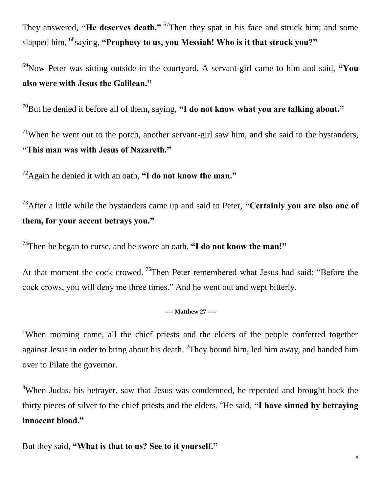They answered, **"He deserves death."** <sup>67</sup>Then they spat in his face and struck him; and some slapped him, <sup>68</sup>saying, **"Prophesy to us, you Messiah! Who is it that struck you?"** 

<sup>69</sup>Now Peter was sitting outside in the courtyard. A servant-girl came to him and said, **"You also were with Jesus the Galilean."**

<sup>70</sup>But he denied it before all of them, saying, **"I do not know what you are talking about."**

<sup>71</sup>When he went out to the porch, another servant-girl saw him, and she said to the bystanders, **"This man was with Jesus of Nazareth."**

<sup>72</sup>Again he denied it with an oath, **"I do not know the man."**

<sup>73</sup>After a little while the bystanders came up and said to Peter, **"Certainly you are also one of them, for your accent betrays you."**

<sup>74</sup>Then he began to curse, and he swore an oath, **"I do not know the man!"**

At that moment the cock crowed. <sup>75</sup>Then Peter remembered what Jesus had said: "Before the cock crows, you will deny me three times." And he went out and wept bitterly.

## **---- Matthew 27 ----**

<sup>1</sup>When morning came, all the chief priests and the elders of the people conferred together against Jesus in order to bring about his death.  ${}^{2}$ They bound him, led him away, and handed him over to Pilate the governor.

<sup>3</sup>When Judas, his betrayer, saw that Jesus was condemned, he repented and brought back the thirty pieces of silver to the chief priests and the elders. <sup>4</sup>He said, **"I have sinned by betraying innocent blood."**

But they said, **"What is that to us? See to it yourself."**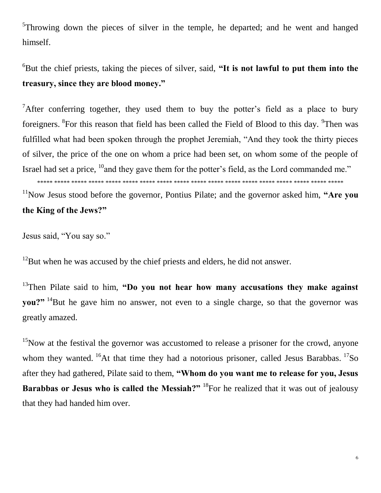<sup>5</sup>Throwing down the pieces of silver in the temple, he departed; and he went and hanged himself.

<sup>6</sup>But the chief priests, taking the pieces of silver, said, "It is not lawful to put them into the **treasury, since they are blood money."**

<sup>7</sup>After conferring together, they used them to buy the potter's field as a place to bury foreigners. <sup>8</sup>For this reason that field has been called the Field of Blood to this day. <sup>9</sup>Then was fulfilled what had been spoken through the prophet Jeremiah, "And they took the thirty pieces of silver, the price of the one on whom a price had been set, on whom some of the people of Israel had set a price,  $^{10}$  and they gave them for the potter's field, as the Lord commanded me."

\*\*\*\*\* \*\*\*\*\* \*\*\*\*\* \*\*\*\*\* \*\*\*\*\* \*\*\*\*\* \*\*\*\*\* \*\*\*\*\* \*\*\*\*\* \*\*\*\*\* \*\*\*\*\* \*\*\*\*\* \*\*\*\*\* \*\*\*\*\* \*\*\*\*\* \*\*\*\*\* \*\*\*\*\* \*\*\*\*\*

<sup>11</sup>Now Jesus stood before the governor, Pontius Pilate; and the governor asked him, "Are you **the King of the Jews?"**

Jesus said, "You say so."

 $12$ But when he was accused by the chief priests and elders, he did not answer.

<sup>13</sup>Then Pilate said to him, "Do you not hear how many accusations they make against **you?"** <sup>14</sup>But he gave him no answer, not even to a single charge, so that the governor was greatly amazed.

 $15$ Now at the festival the governor was accustomed to release a prisoner for the crowd, anyone whom they wanted.  $^{16}$ At that time they had a notorious prisoner, called Jesus Barabbas.  $^{17}$ So after they had gathered, Pilate said to them, **"Whom do you want me to release for you, Jesus Barabbas or Jesus who is called the Messiah?"** <sup>18</sup>For he realized that it was out of jealousy that they had handed him over.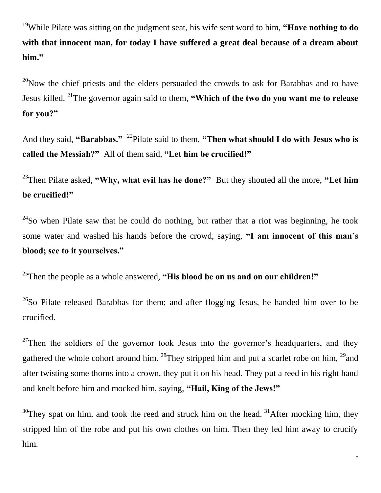<sup>19</sup>While Pilate was sitting on the judgment seat, his wife sent word to him, **"Have nothing to do with that innocent man, for today I have suffered a great deal because of a dream about him."**

 $^{20}$ Now the chief priests and the elders persuaded the crowds to ask for Barabbas and to have Jesus killed. <sup>21</sup>The governor again said to them, **"Which of the two do you want me to release for you?"**

And they said, "Barabbas." <sup>22</sup>Pilate said to them, "Then what should I do with Jesus who is **called the Messiah?"** All of them said, **"Let him be crucified!"**

<sup>23</sup>Then Pilate asked, **"Why, what evil has he done?"** But they shouted all the more, **"Let him be crucified!"**

 $24$ So when Pilate saw that he could do nothing, but rather that a riot was beginning, he took some water and washed his hands before the crowd, saying, **"I am innocent of this man's blood; see to it yourselves."**

<sup>25</sup>Then the people as a whole answered, **"His blood be on us and on our children!"**

 $^{26}$ So Pilate released Barabbas for them; and after flogging Jesus, he handed him over to be crucified.

<sup>27</sup>Then the soldiers of the governor took Jesus into the governor's headquarters, and they gathered the whole cohort around him. <sup>28</sup>They stripped him and put a scarlet robe on him, <sup>29</sup> and after twisting some thorns into a crown, they put it on his head. They put a reed in his right hand and knelt before him and mocked him, saying, **"Hail, King of the Jews!"**

 $30$ They spat on him, and took the reed and struck him on the head.  $31$ After mocking him, they stripped him of the robe and put his own clothes on him. Then they led him away to crucify him.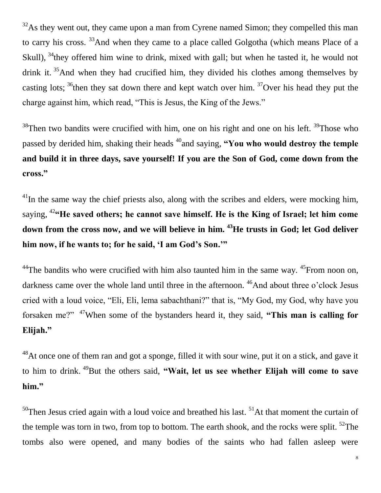$32\text{As}$  they went out, they came upon a man from Cyrene named Simon; they compelled this man to carry his cross. <sup>33</sup>And when they came to a place called Golgotha (which means Place of a Skull),  $34$ <sup>4</sup>they offered him wine to drink, mixed with gall; but when he tasted it, he would not drink it.  $35$ And when they had crucified him, they divided his clothes among themselves by casting lots;  $36$ <sup>then</sup> they sat down there and kept watch over him.  $37$ Over his head they put the charge against him, which read, "This is Jesus, the King of the Jews."

 $38$ Then two bandits were crucified with him, one on his right and one on his left.  $39$ Those who passed by derided him, shaking their heads <sup>40</sup> and saying, **"You who would destroy the temple and build it in three days, save yourself! If you are the Son of God, come down from the cross."**

<sup>41</sup>In the same way the chief priests also, along with the scribes and elders, were mocking him, saying, <sup>42</sup>**"He saved others; he cannot save himself. He is the King of Israel; let him come down from the cross now, and we will believe in him. <sup>43</sup>He trusts in God; let God deliver him now, if he wants to; for he said, 'I am God's Son.'"**

<sup>44</sup>The bandits who were crucified with him also taunted him in the same way.  $45$ From noon on, darkness came over the whole land until three in the afternoon. <sup>46</sup>And about three o'clock Jesus cried with a loud voice, "Eli, Eli, lema sabachthani?" that is, "My God, my God, why have you forsaken me?" <sup>47</sup>When some of the bystanders heard it, they said, **"This man is calling for Elijah."**

 $^{48}$ At once one of them ran and got a sponge, filled it with sour wine, put it on a stick, and gave it to him to drink. <sup>49</sup>But the others said, **"Wait, let us see whether Elijah will come to save him."**

 $50$ Then Jesus cried again with a loud voice and breathed his last.  $51$ At that moment the curtain of the temple was torn in two, from top to bottom. The earth shook, and the rocks were split.  $52$ The tombs also were opened, and many bodies of the saints who had fallen asleep were